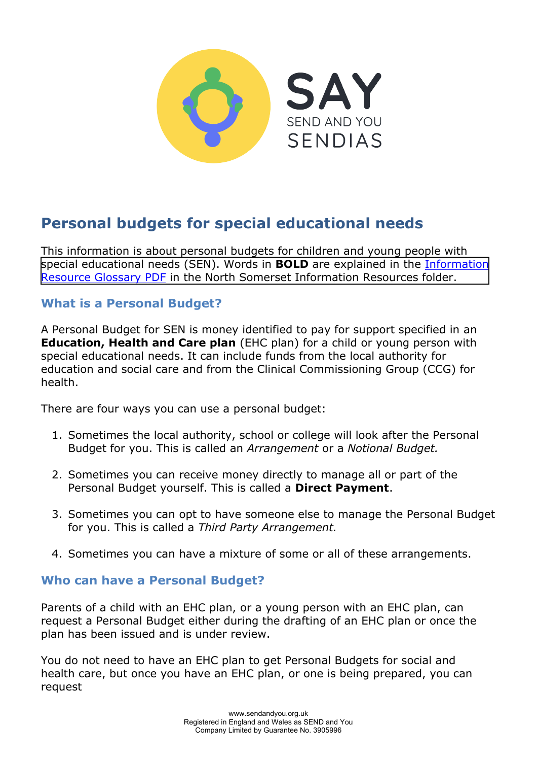

# **Personal budgets for special educational needs**

This information is about personal budgets for children and young people with special educational needs (SEN). Words in **BOLD** are explained in the [Information](https://www.supportiveparents.org.uk/wp-content/uploads/2020/02/Information-Resource-Glossary-REVISED2.pdf) [Resource Glossary PDF](https://www.supportiveparents.org.uk/wp-content/uploads/2020/02/Information-Resource-Glossary-REVISED2.pdf) [in the North Somerset Information Resources folder.](https://www.sendandyou.org.uk/wp-content/uploads/2021/08/Information-Resource-Glossary-REVISED2-new.pdf)

#### **What is a Personal Budget?**

A Personal Budget for SEN is money identified to pay for support specified in an **Education, Health and Care plan** (EHC plan) for a child or young person with special educational needs. It can include funds from the local authority for education and social care and from the Clinical Commissioning Group (CCG) for health.

There are four ways you can use a personal budget:

- 1. Sometimes the local authority, school or college will look after the Personal Budget for you. This is called an *Arrangement* or a *Notional Budget.*
- 2. Sometimes you can receive money directly to manage all or part of the Personal Budget yourself. This is called a **Direct Payment**.
- 3. Sometimes you can opt to have someone else to manage the Personal Budget for you. This is called a *Third Party Arrangement.*
- 4. Sometimes you can have a mixture of some or all of these arrangements.

#### **Who can have a Personal Budget?**

Parents of a child with an EHC plan, or a young person with an EHC plan, can request a Personal Budget either during the drafting of an EHC plan or once the plan has been issued and is under review.

You do not need to have an EHC plan to get Personal Budgets for social and health care, but once you have an EHC plan, or one is being prepared, you can request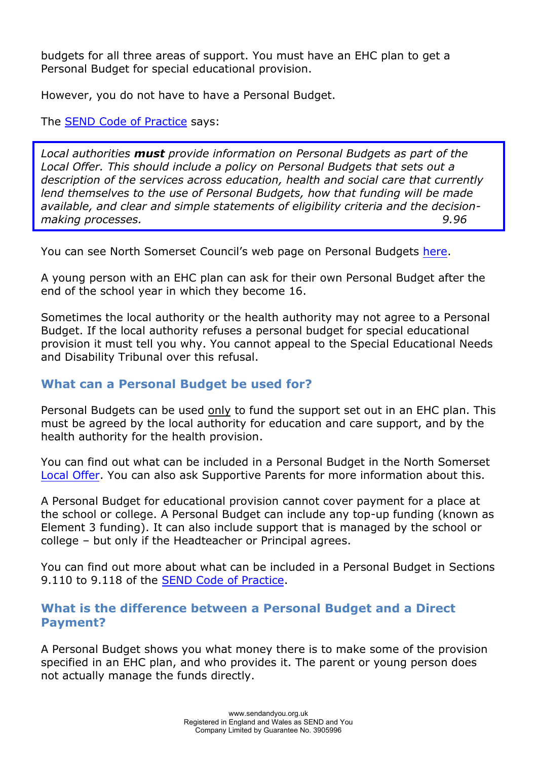budgets for all three areas of support. You must have an EHC plan to get a Personal Budget for special educational provision.

However, you do not have to have a Personal Budget.

The **SEND Code of Practice** says:

*Local authorities must provide information on Personal Budgets as part of the Local Offer. This should include a policy on Personal Budgets that sets out a description of the services across education, health and social care that currently lend themselves to the use of Personal Budgets, how that funding will be made available, and clear and simple statements of eligibility criteria and the decisionmaking processes. 9.96*

You can see North Somerset Council's web page on Personal Budgets [here.](https://nsod.n-somerset.gov.uk/kb5/northsomerset/directory/advice.page?id=n9ybWMliZHk)

A young person with an EHC plan can ask for their own Personal Budget after the end of the school year in which they become 16.

Sometimes the local authority or the health authority may not agree to a Personal Budget. If the local authority refuses a personal budget for special educational provision it must tell you why. You cannot appeal to the Special Educational Needs and Disability Tribunal over this refusal.

## **What can a Personal Budget be used for?**

Personal Budgets can be used only to fund the support set out in an EHC plan. This must be agreed by the local authority for education and care support, and by the health authority for the health provision.

You can find out what can be included in a Personal Budget in the North Somerset [Local Offer.](https://nsod.n-somerset.gov.uk/kb5/northsomerset/directory/localoffer.page?localofferchannel=0) You can also ask Supportive Parents for more information about this.

A Personal Budget for educational provision cannot cover payment for a place at the school or college. A Personal Budget can include any top-up funding (known as Element 3 funding). It can also include support that is managed by the school or college – but only if the Headteacher or Principal agrees.

You can find out more about what can be included in a Personal Budget in Sections 9.110 to 9.118 of the [SEND Code of Practice.](https://www.gov.uk/government/publications/send-code-of-practice-0-to-25)

#### **What is the difference between a Personal Budget and a Direct Payment?**

A Personal Budget shows you what money there is to make some of the provision specified in an EHC plan, and who provides it. The parent or young person does not actually manage the funds directly.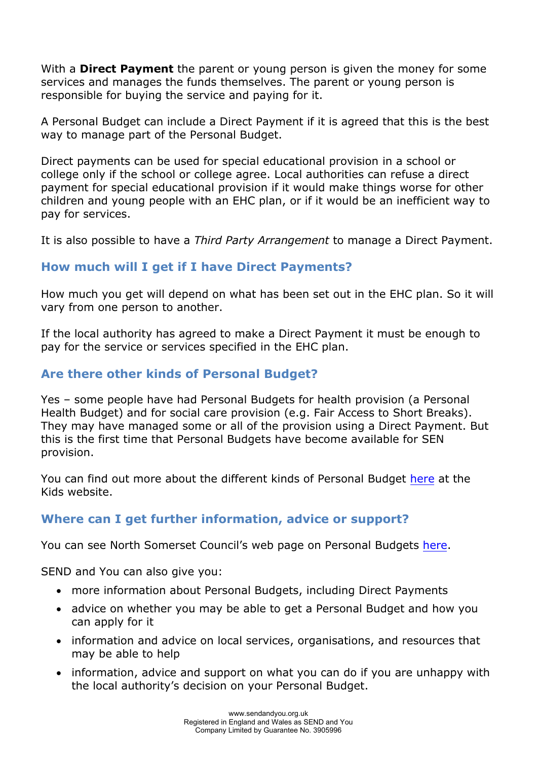With a **Direct Payment** the parent or young person is given the money for some services and manages the funds themselves. The parent or young person is responsible for buying the service and paying for it.

A Personal Budget can include a Direct Payment if it is agreed that this is the best way to manage part of the Personal Budget.

Direct payments can be used for special educational provision in a school or college only if the school or college agree. Local authorities can refuse a direct payment for special educational provision if it would make things worse for other children and young people with an EHC plan, or if it would be an inefficient way to pay for services.

It is also possible to have a *Third Party Arrangement* to manage a Direct Payment.

# **How much will I get if I have Direct Payments?**

How much you get will depend on what has been set out in the EHC plan. So it will vary from one person to another.

If the local authority has agreed to make a Direct Payment it must be enough to pay for the service or services specified in the EHC plan.

# **Are there other kinds of Personal Budget?**

Yes – some people have had Personal Budgets for health provision (a Personal Health Budget) and for social care provision (e.g. Fair Access to Short Breaks). They may have managed some or all of the provision using a Direct Payment. But this is the first time that Personal Budgets have become available for SEN provision.

You can find out more about the different kinds of Personal Budget [here](https://www.kids.org.uk/yp-personal-budgets) at the Kids website.

## **Where can I get further information, advice or support?**

You can see North Somerset Council's web page on Personal Budgets here.

SEND and You can also give you:

- more information about Personal Budgets, including Direct Payments
- advice on whether you may be able to get a Personal Budget and how you can apply for it
- information and advice on local services, organisations, and resources that may be able to help
- information, advice and support on what you can do if you are unhappy with the local authority's decision on your Personal Budget.